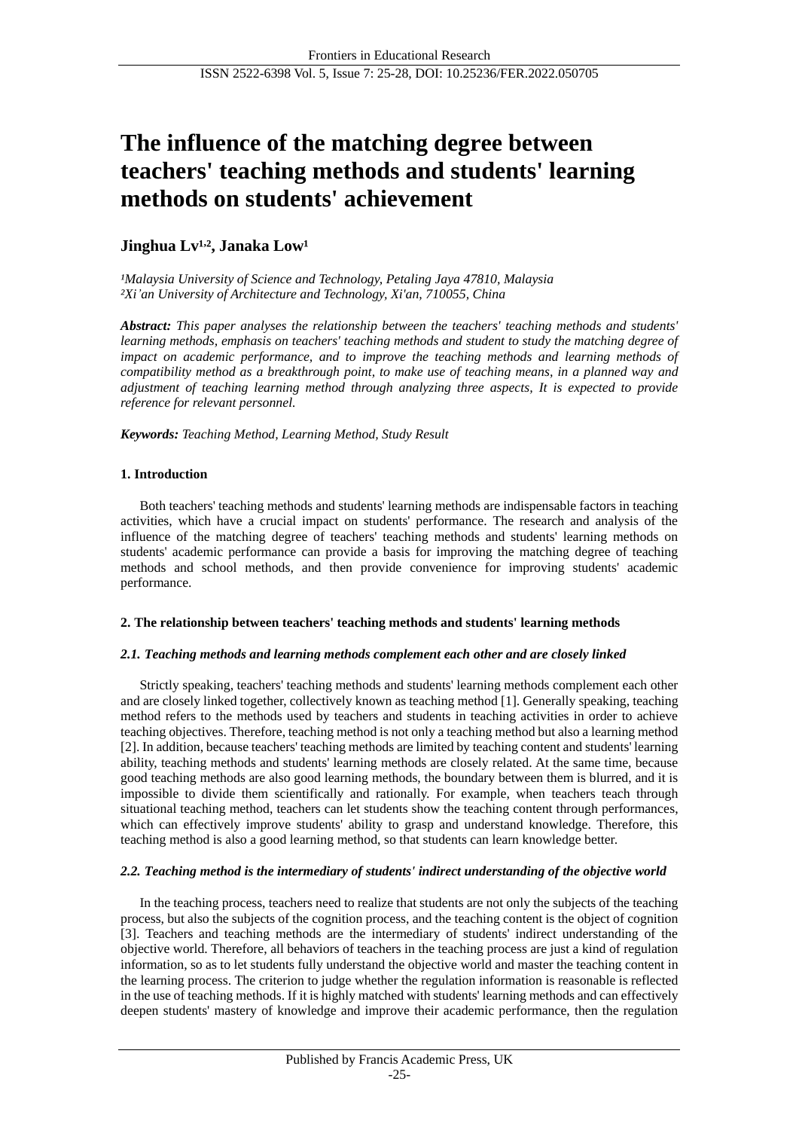# **The influence of the matching degree between teachers' teaching methods and students' learning methods on students' achievement**

# **Jinghua Lv¹,², Janaka Low¹**

*¹Malaysia University of Science and Technology, Petaling Jaya 47810, Malaysia ²Xi'an University of Architecture and Technology, Xi'an, 710055, China*

*Abstract: This paper analyses the relationship between the teachers' teaching methods and students' learning methods, emphasis on teachers' teaching methods and student to study the matching degree of impact on academic performance, and to improve the teaching methods and learning methods of compatibility method as a breakthrough point, to make use of teaching means, in a planned way and adjustment of teaching learning method through analyzing three aspects, It is expected to provide reference for relevant personnel.*

# *Keywords: Teaching Method, Learning Method, Study Result*

# **1. Introduction**

Both teachers' teaching methods and students' learning methods are indispensable factors in teaching activities, which have a crucial impact on students' performance. The research and analysis of the influence of the matching degree of teachers' teaching methods and students' learning methods on students' academic performance can provide a basis for improving the matching degree of teaching methods and school methods, and then provide convenience for improving students' academic performance.

## **2. The relationship between teachers' teaching methods and students' learning methods**

## *2.1. Teaching methods and learning methods complement each other and are closely linked*

Strictly speaking, teachers' teaching methods and students' learning methods complement each other and are closely linked together, collectively known as teaching method [1]. Generally speaking, teaching method refers to the methods used by teachers and students in teaching activities in order to achieve teaching objectives. Therefore, teaching method is not only a teaching method but also a learning method [2]. In addition, because teachers' teaching methods are limited by teaching content and students' learning ability, teaching methods and students' learning methods are closely related. At the same time, because good teaching methods are also good learning methods, the boundary between them is blurred, and it is impossible to divide them scientifically and rationally. For example, when teachers teach through situational teaching method, teachers can let students show the teaching content through performances, which can effectively improve students' ability to grasp and understand knowledge. Therefore, this teaching method is also a good learning method, so that students can learn knowledge better.

# *2.2. Teaching method is the intermediary of students' indirect understanding of the objective world*

In the teaching process, teachers need to realize that students are not only the subjects of the teaching process, but also the subjects of the cognition process, and the teaching content is the object of cognition [3]. Teachers and teaching methods are the intermediary of students' indirect understanding of the objective world. Therefore, all behaviors of teachers in the teaching process are just a kind of regulation information, so as to let students fully understand the objective world and master the teaching content in the learning process. The criterion to judge whether the regulation information is reasonable is reflected in the use of teaching methods. If it is highly matched with students' learning methods and can effectively deepen students' mastery of knowledge and improve their academic performance, then the regulation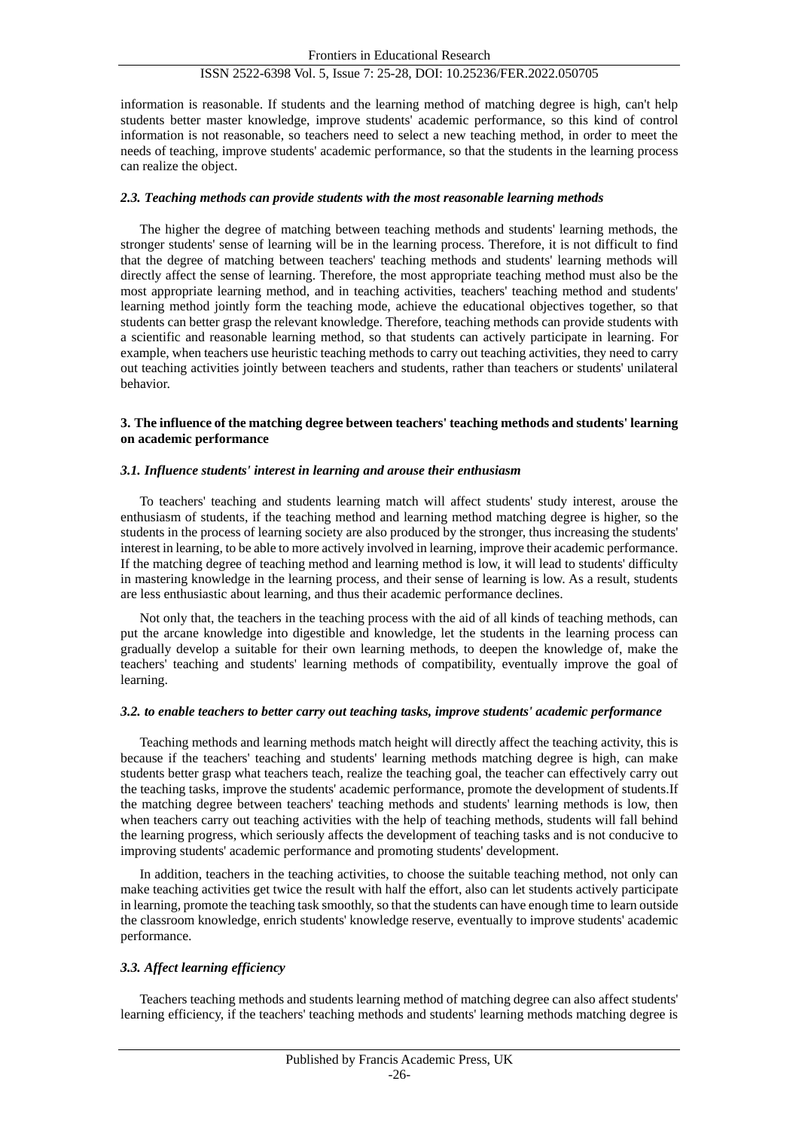# ISSN 2522-6398 Vol. 5, Issue 7: 25-28, DOI: 10.25236/FER.2022.050705

information is reasonable. If students and the learning method of matching degree is high, can't help students better master knowledge, improve students' academic performance, so this kind of control information is not reasonable, so teachers need to select a new teaching method, in order to meet the needs of teaching, improve students' academic performance, so that the students in the learning process can realize the object.

## *2.3. Teaching methods can provide students with the most reasonable learning methods*

The higher the degree of matching between teaching methods and students' learning methods, the stronger students' sense of learning will be in the learning process. Therefore, it is not difficult to find that the degree of matching between teachers' teaching methods and students' learning methods will directly affect the sense of learning. Therefore, the most appropriate teaching method must also be the most appropriate learning method, and in teaching activities, teachers' teaching method and students' learning method jointly form the teaching mode, achieve the educational objectives together, so that students can better grasp the relevant knowledge. Therefore, teaching methods can provide students with a scientific and reasonable learning method, so that students can actively participate in learning. For example, when teachers use heuristic teaching methods to carry out teaching activities, they need to carry out teaching activities jointly between teachers and students, rather than teachers or students' unilateral behavior.

#### **3. The influence of the matching degree between teachers' teaching methods and students' learning on academic performance**

#### *3.1. Influence students' interest in learning and arouse their enthusiasm*

To teachers' teaching and students learning match will affect students' study interest, arouse the enthusiasm of students, if the teaching method and learning method matching degree is higher, so the students in the process of learning society are also produced by the stronger, thus increasing the students' interest in learning, to be able to more actively involved in learning, improve their academic performance. If the matching degree of teaching method and learning method is low, it will lead to students' difficulty in mastering knowledge in the learning process, and their sense of learning is low. As a result, students are less enthusiastic about learning, and thus their academic performance declines.

Not only that, the teachers in the teaching process with the aid of all kinds of teaching methods, can put the arcane knowledge into digestible and knowledge, let the students in the learning process can gradually develop a suitable for their own learning methods, to deepen the knowledge of, make the teachers' teaching and students' learning methods of compatibility, eventually improve the goal of learning.

#### *3.2. to enable teachers to better carry out teaching tasks, improve students' academic performance*

Teaching methods and learning methods match height will directly affect the teaching activity, this is because if the teachers' teaching and students' learning methods matching degree is high, can make students better grasp what teachers teach, realize the teaching goal, the teacher can effectively carry out the teaching tasks, improve the students' academic performance, promote the development of students.If the matching degree between teachers' teaching methods and students' learning methods is low, then when teachers carry out teaching activities with the help of teaching methods, students will fall behind the learning progress, which seriously affects the development of teaching tasks and is not conducive to improving students' academic performance and promoting students' development.

In addition, teachers in the teaching activities, to choose the suitable teaching method, not only can make teaching activities get twice the result with half the effort, also can let students actively participate in learning, promote the teaching task smoothly, so that the students can have enough time to learn outside the classroom knowledge, enrich students' knowledge reserve, eventually to improve students' academic performance.

## *3.3. Affect learning efficiency*

Teachers teaching methods and students learning method of matching degree can also affect students' learning efficiency, if the teachers' teaching methods and students' learning methods matching degree is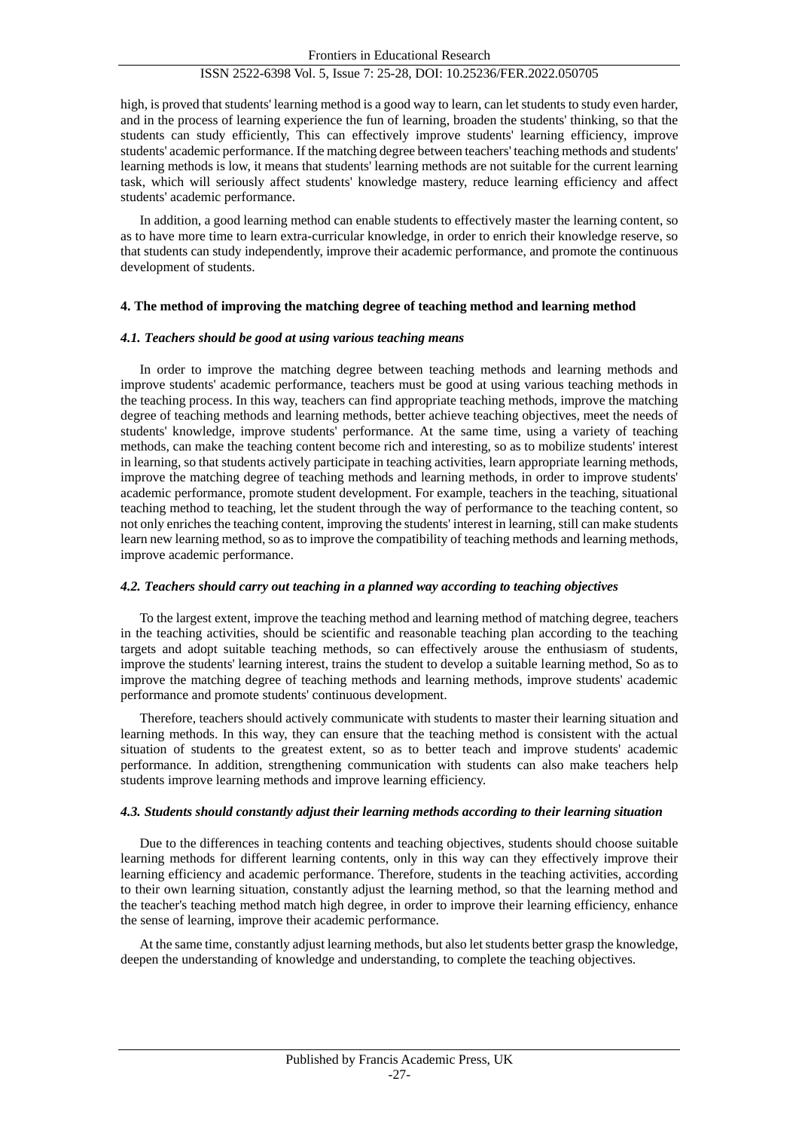## ISSN 2522-6398 Vol. 5, Issue 7: 25-28, DOI: 10.25236/FER.2022.050705

high, is proved that students' learning method is a good way to learn, can let students to study even harder, and in the process of learning experience the fun of learning, broaden the students' thinking, so that the students can study efficiently, This can effectively improve students' learning efficiency, improve students' academic performance. If the matching degree between teachers' teaching methods and students' learning methods is low, it means that students' learning methods are not suitable for the current learning task, which will seriously affect students' knowledge mastery, reduce learning efficiency and affect students' academic performance.

In addition, a good learning method can enable students to effectively master the learning content, so as to have more time to learn extra-curricular knowledge, in order to enrich their knowledge reserve, so that students can study independently, improve their academic performance, and promote the continuous development of students.

#### **4. The method of improving the matching degree of teaching method and learning method**

#### *4.1. Teachers should be good at using various teaching means*

In order to improve the matching degree between teaching methods and learning methods and improve students' academic performance, teachers must be good at using various teaching methods in the teaching process. In this way, teachers can find appropriate teaching methods, improve the matching degree of teaching methods and learning methods, better achieve teaching objectives, meet the needs of students' knowledge, improve students' performance. At the same time, using a variety of teaching methods, can make the teaching content become rich and interesting, so as to mobilize students' interest in learning, so that students actively participate in teaching activities, learn appropriate learning methods, improve the matching degree of teaching methods and learning methods, in order to improve students' academic performance, promote student development. For example, teachers in the teaching, situational teaching method to teaching, let the student through the way of performance to the teaching content, so not only enriches the teaching content, improving the students' interest in learning, still can make students learn new learning method, so as to improve the compatibility of teaching methods and learning methods, improve academic performance.

#### *4.2. Teachers should carry out teaching in a planned way according to teaching objectives*

To the largest extent, improve the teaching method and learning method of matching degree, teachers in the teaching activities, should be scientific and reasonable teaching plan according to the teaching targets and adopt suitable teaching methods, so can effectively arouse the enthusiasm of students, improve the students' learning interest, trains the student to develop a suitable learning method, So as to improve the matching degree of teaching methods and learning methods, improve students' academic performance and promote students' continuous development.

Therefore, teachers should actively communicate with students to master their learning situation and learning methods. In this way, they can ensure that the teaching method is consistent with the actual situation of students to the greatest extent, so as to better teach and improve students' academic performance. In addition, strengthening communication with students can also make teachers help students improve learning methods and improve learning efficiency.

#### *4.3. Students should constantly adjust their learning methods according to their learning situation*

Due to the differences in teaching contents and teaching objectives, students should choose suitable learning methods for different learning contents, only in this way can they effectively improve their learning efficiency and academic performance. Therefore, students in the teaching activities, according to their own learning situation, constantly adjust the learning method, so that the learning method and the teacher's teaching method match high degree, in order to improve their learning efficiency, enhance the sense of learning, improve their academic performance.

At the same time, constantly adjust learning methods, but also let students better grasp the knowledge, deepen the understanding of knowledge and understanding, to complete the teaching objectives.